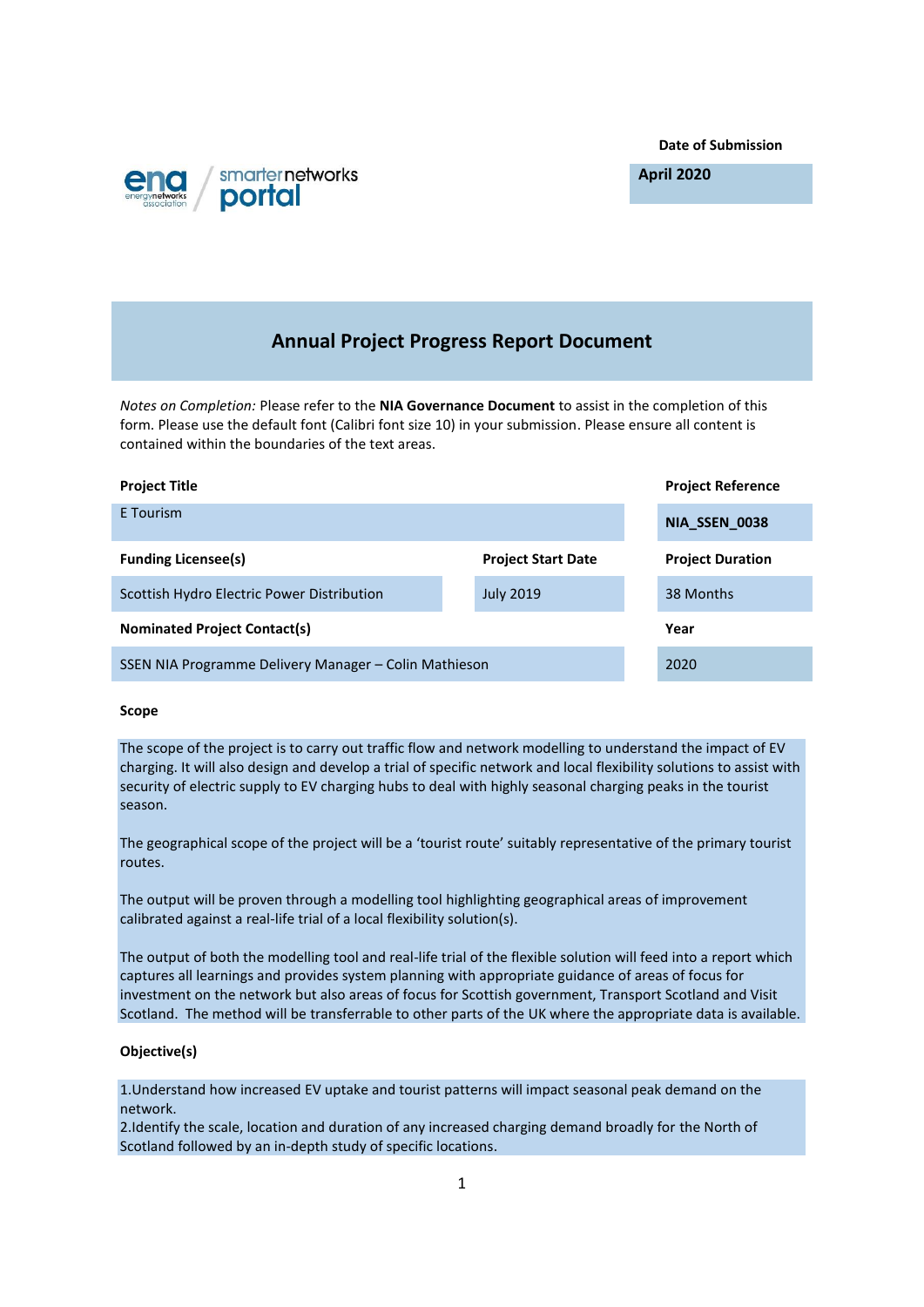**Date of Submission**



**April 2020**

# **Annual Project Progress Report Document**

*Notes on Completion:* Please refer to the **NIA Governance Document** to assist in the completion of this form. Please use the default font (Calibri font size 10) in your submission. Please ensure all content is contained within the boundaries of the text areas.

| <b>Project Title</b>                                  |                           |  | <b>Project Reference</b> |
|-------------------------------------------------------|---------------------------|--|--------------------------|
| E Tourism                                             |                           |  | NIA_SSEN_0038            |
| <b>Funding Licensee(s)</b>                            | <b>Project Start Date</b> |  | <b>Project Duration</b>  |
| Scottish Hydro Electric Power Distribution            | <b>July 2019</b>          |  | 38 Months                |
| <b>Nominated Project Contact(s)</b>                   |                           |  | Year                     |
| SSEN NIA Programme Delivery Manager – Colin Mathieson |                           |  | 2020                     |

## **Scope**

The scope of the project is to carry out traffic flow and network modelling to understand the impact of EV charging. It will also design and develop a trial of specific network and local flexibility solutions to assist with security of electric supply to EV charging hubs to deal with highly seasonal charging peaks in the tourist season.

The geographical scope of the project will be a 'tourist route' suitably representative of the primary tourist routes.

The output will be proven through a modelling tool highlighting geographical areas of improvement calibrated against a real-life trial of a local flexibility solution(s).

The output of both the modelling tool and real-life trial of the flexible solution will feed into a report which captures all learnings and provides system planning with appropriate guidance of areas of focus for investment on the network but also areas of focus for Scottish government, Transport Scotland and Visit Scotland. The method will be transferrable to other parts of the UK where the appropriate data is available.

## **Objective(s)**

1.Understand how increased EV uptake and tourist patterns will impact seasonal peak demand on the network.

2.Identify the scale, location and duration of any increased charging demand broadly for the North of Scotland followed by an in-depth study of specific locations.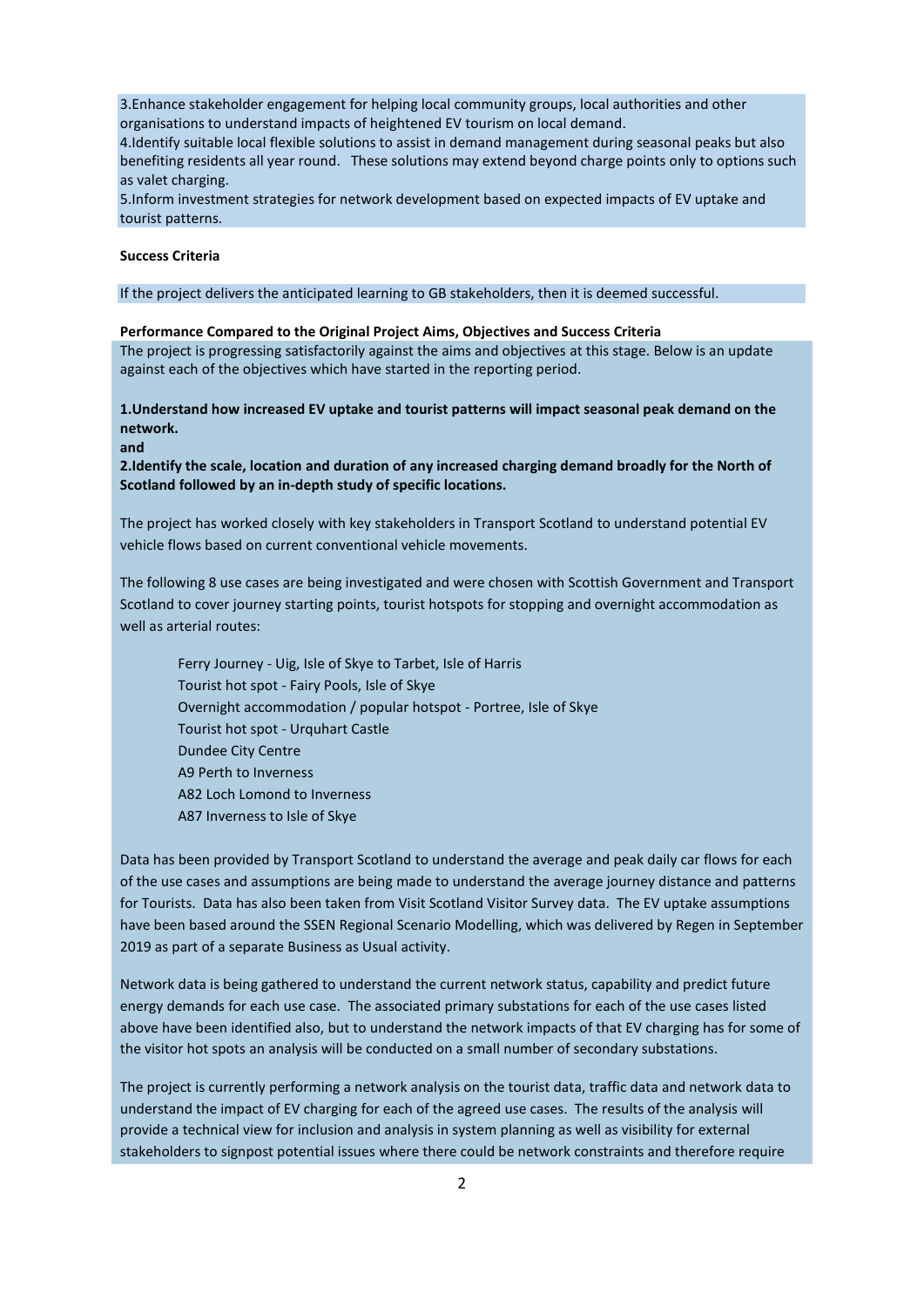3.Enhance stakeholder engagement for helping local community groups, local authorities and other organisations to understand impacts of heightened EV tourism on local demand.

4.Identify suitable local flexible solutions to assist in demand management during seasonal peaks but also benefiting residents all year round. These solutions may extend beyond charge points only to options such as valet charging.

5.Inform investment strategies for network development based on expected impacts of EV uptake and tourist patterns.

#### **Success Criteria**

If the project delivers the anticipated learning to GB stakeholders, then it is deemed successful.

## **Performance Compared to the Original Project Aims, Objectives and Success Criteria**

The project is progressing satisfactorily against the aims and objectives at this stage. Below is an update against each of the objectives which have started in the reporting period.

**1.Understand how increased EV uptake and tourist patterns will impact seasonal peak demand on the network.**

**and** 

**2.Identify the scale, location and duration of any increased charging demand broadly for the North of Scotland followed by an in-depth study of specific locations.**

The project has worked closely with key stakeholders in Transport Scotland to understand potential EV vehicle flows based on current conventional vehicle movements.

The following 8 use cases are being investigated and were chosen with Scottish Government and Transport Scotland to cover journey starting points, tourist hotspots for stopping and overnight accommodation as well as arterial routes:

Ferry Journey - Uig, Isle of Skye to Tarbet, Isle of Harris Tourist hot spot - Fairy Pools, Isle of Skye Overnight accommodation / popular hotspot - Portree, Isle of Skye Tourist hot spot - Urquhart Castle Dundee City Centre A9 Perth to Inverness A82 Loch Lomond to Inverness A87 Inverness to Isle of Skye

Data has been provided by Transport Scotland to understand the average and peak daily car flows for each of the use cases and assumptions are being made to understand the average journey distance and patterns for Tourists. Data has also been taken from Visit Scotland Visitor Survey data. The EV uptake assumptions have been based around the SSEN Regional Scenario Modelling, which was delivered by Regen in September 2019 as part of a separate Business as Usual activity.

Network data is being gathered to understand the current network status, capability and predict future energy demands for each use case. The associated primary substations for each of the use cases listed above have been identified also, but to understand the network impacts of that EV charging has for some of the visitor hot spots an analysis will be conducted on a small number of secondary substations.

The project is currently performing a network analysis on the tourist data, traffic data and network data to understand the impact of EV charging for each of the agreed use cases. The results of the analysis will provide a technical view for inclusion and analysis in system planning as well as visibility for external stakeholders to signpost potential issues where there could be network constraints and therefore require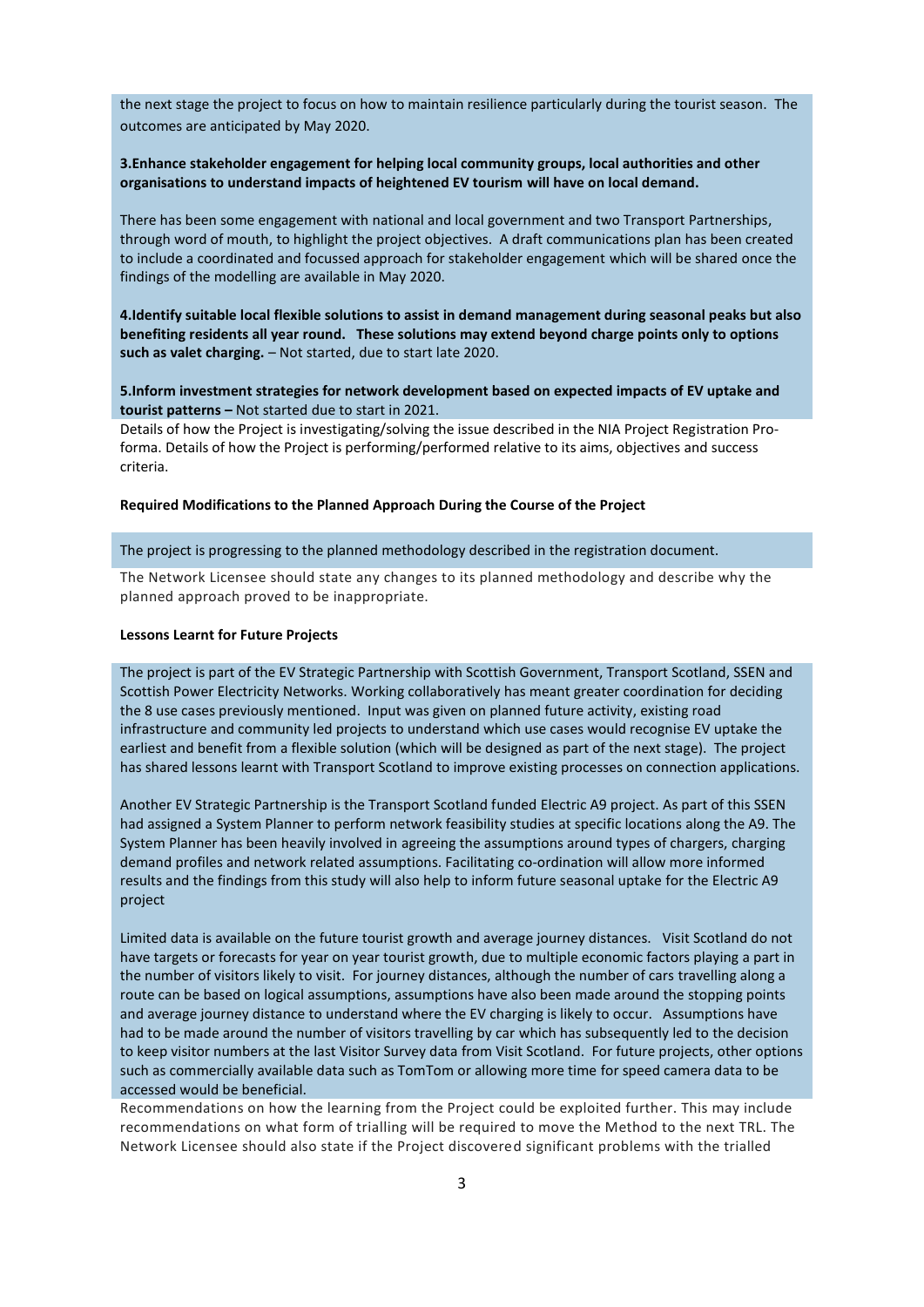the next stage the project to focus on how to maintain resilience particularly during the tourist season. The outcomes are anticipated by May 2020.

## **3.Enhance stakeholder engagement for helping local community groups, local authorities and other organisations to understand impacts of heightened EV tourism will have on local demand.**

There has been some engagement with national and local government and two Transport Partnerships, through word of mouth, to highlight the project objectives. A draft communications plan has been created to include a coordinated and focussed approach for stakeholder engagement which will be shared once the findings of the modelling are available in May 2020.

**4.Identify suitable local flexible solutions to assist in demand management during seasonal peaks but also benefiting residents all year round. These solutions may extend beyond charge points only to options such as valet charging.** – Not started, due to start late 2020.

**5.Inform investment strategies for network development based on expected impacts of EV uptake and tourist patterns –** Not started due to start in 2021.

Details of how the Project is investigating/solving the issue described in the NIA Project Registration Proforma. Details of how the Project is performing/performed relative to its aims, objectives and success criteria.

#### **Required Modifications to the Planned Approach During the Course of the Project**

#### The project is progressing to the planned methodology described in the registration document.

The Network Licensee should state any changes to its planned methodology and describe why the planned approach proved to be inappropriate.

#### **Lessons Learnt for Future Projects**

The project is part of the EV Strategic Partnership with Scottish Government, Transport Scotland, SSEN and Scottish Power Electricity Networks. Working collaboratively has meant greater coordination for deciding the 8 use cases previously mentioned. Input was given on planned future activity, existing road infrastructure and community led projects to understand which use cases would recognise EV uptake the earliest and benefit from a flexible solution (which will be designed as part of the next stage). The project has shared lessons learnt with Transport Scotland to improve existing processes on connection applications.

Another EV Strategic Partnership is the Transport Scotland funded Electric A9 project. As part of this SSEN had assigned a System Planner to perform network feasibility studies at specific locations along the A9. The System Planner has been heavily involved in agreeing the assumptions around types of chargers, charging demand profiles and network related assumptions. Facilitating co-ordination will allow more informed results and the findings from this study will also help to inform future seasonal uptake for the Electric A9 project

Limited data is available on the future tourist growth and average journey distances. Visit Scotland do not have targets or forecasts for year on year tourist growth, due to multiple economic factors playing a part in the number of visitors likely to visit. For journey distances, although the number of cars travelling along a route can be based on logical assumptions, assumptions have also been made around the stopping points and average journey distance to understand where the EV charging is likely to occur. Assumptions have had to be made around the number of visitors travelling by car which has subsequently led to the decision to keep visitor numbers at the last Visitor Survey data from Visit Scotland. For future projects, other options such as commercially available data such as TomTom or allowing more time for speed camera data to be accessed would be beneficial.

Recommendations on how the learning from the Project could be exploited further. This may include recommendations on what form of trialling will be required to move the Method to the next TRL. The Network Licensee should also state if the Project discovered significant problems with the trialled